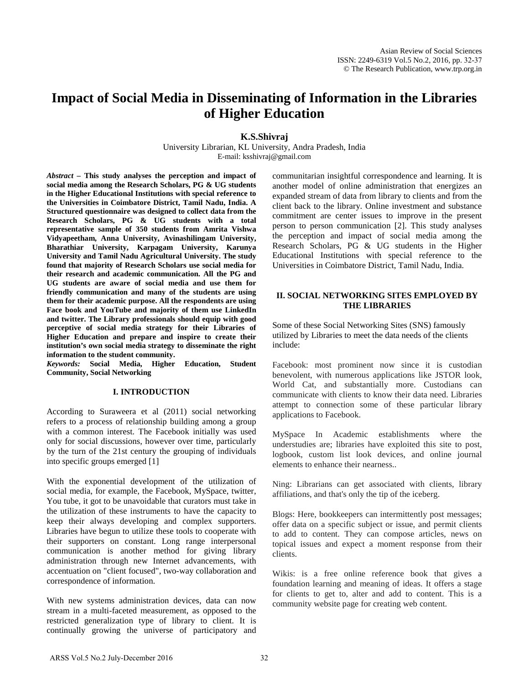# **Impact of Social Media in Disseminating of Information in the Libraries of Higher Education**

**K.S.Shivraj**

University Librarian, KL University, Andra Pradesh, India E-mail: ksshivraj@gmail.com

*Abstract –* **This study analyses the perception and impact of social media among the Research Scholars, PG & UG students in the Higher Educational Institutions with special reference to the Universities in Coimbatore District, Tamil Nadu, India. A Structured questionnaire was designed to collect data from the Research Scholars, PG & UG students with a total representative sample of 350 students from Amrita Vishwa Vidyapeetham, Anna University, Avinashilingam University, Bharathiar University, Karpagam University, Karunya University and Tamil Nadu Agricultural University. The study found that majority of Research Scholars use social media for their research and academic communication. All the PG and UG students are aware of social media and use them for friendly communication and many of the students are using them for their academic purpose. All the respondents are using Face book and YouTube and majority of them use LinkedIn and twitter. The Library professionals should equip with good perceptive of social media strategy for their Libraries of Higher Education and prepare and inspire to create their institution's own social media strategy to disseminate the right information to the student community.**

*Keywords:* **Social Media, Higher Education, Student Community, Social Networking**

#### **I. INTRODUCTION**

According to Suraweera et al (2011) social networking refers to a process of relationship building among a group with a common interest. The Facebook initially was used only for social discussions, however over time, particularly by the turn of the 21st century the grouping of individuals into specific groups emerged [1]

With the exponential development of the utilization of social media, for example, the Facebook, MySpace, twitter, You tube, it got to be unavoidable that curators must take in the utilization of these instruments to have the capacity to keep their always developing and complex supporters. Libraries have begun to utilize these tools to cooperate with their supporters on constant. Long range interpersonal communication is another method for giving library administration through new Internet advancements, with accentuation on "client focused", two-way collaboration and correspondence of information.

With new systems administration devices, data can now stream in a multi-faceted measurement, as opposed to the restricted generalization type of library to client. It is continually growing the universe of participatory and communitarian insightful correspondence and learning. It is another model of online administration that energizes an expanded stream of data from library to clients and from the client back to the library. Online investment and substance commitment are center issues to improve in the present person to person communication [2]. This study analyses the perception and impact of social media among the Research Scholars, PG & UG students in the Higher Educational Institutions with special reference to the Universities in Coimbatore District, Tamil Nadu, India.

## **II. SOCIAL NETWORKING SITES EMPLOYED BY THE LIBRARIES**

Some of these Social Networking Sites (SNS) famously utilized by Libraries to meet the data needs of the clients include:

Facebook: most prominent now since it is custodian benevolent, with numerous applications like JSTOR look, World Cat, and substantially more. Custodians can communicate with clients to know their data need. Libraries attempt to connection some of these particular library applications to Facebook.

MySpace In Academic establishments where the understudies are; libraries have exploited this site to post, logbook, custom list look devices, and online journal elements to enhance their nearness..

Ning: Librarians can get associated with clients, library affiliations, and that's only the tip of the iceberg.

Blogs: Here, bookkeepers can intermittently post messages; offer data on a specific subject or issue, and permit clients to add to content. They can compose articles, news on topical issues and expect a moment response from their clients.

Wikis: is a free online reference book that gives a foundation learning and meaning of ideas. It offers a stage for clients to get to, alter and add to content. This is a community website page for creating web content.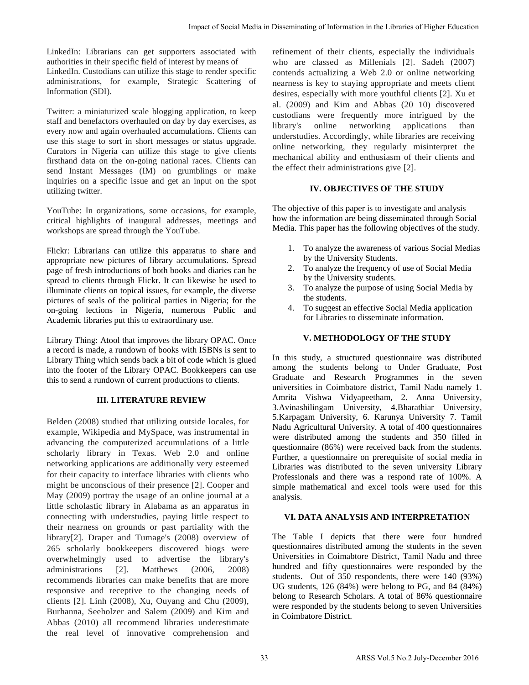LinkedIn: Librarians can get supporters associated with authorities in their specific field of interest by means of LinkedIn. Custodians can utilize this stage to render specific administrations, for example, Strategic Scattering of Information (SDI).

Twitter: a miniaturized scale blogging application, to keep staff and benefactors overhauled on day by day exercises, as every now and again overhauled accumulations. Clients can use this stage to sort in short messages or status upgrade. Curators in Nigeria can utilize this stage to give clients firsthand data on the on-going national races. Clients can send Instant Messages (IM) on grumblings or make inquiries on a specific issue and get an input on the spot utilizing twitter.

YouTube: In organizations, some occasions, for example, critical highlights of inaugural addresses, meetings and workshops are spread through the YouTube.

Flickr: Librarians can utilize this apparatus to share and appropriate new pictures of library accumulations. Spread page of fresh introductions of both books and diaries can be spread to clients through Flickr. It can likewise be used to illuminate clients on topical issues, for example, the diverse pictures of seals of the political parties in Nigeria; for the on-going lections in Nigeria, numerous Public and Academic libraries put this to extraordinary use.

Library Thing: Atool that improves the library OPAC. Once a record is made, a rundown of books with ISBNs is sent to Library Thing which sends back a bit of code which is glued into the footer of the Library OPAC. Bookkeepers can use this to send a rundown of current productions to clients.

# **III. LITERATURE REVIEW**

Belden (2008) studied that utilizing outside locales, for example, Wikipedia and MySpace, was instrumental in advancing the computerized accumulations of a little scholarly library in Texas. Web 2.0 and online networking applications are additionally very esteemed for their capacity to interface libraries with clients who might be unconscious of their presence [2]. Cooper and May (2009) portray the usage of an online journal at a little scholastic library in Alabama as an apparatus in connecting with understudies, paying little respect to their nearness on grounds or past partiality with the library[2]. Draper and Tumage's (2008) overview of 265 scholarly bookkeepers discovered biogs were overwhelmingly used to advertise the library's administrations [2]. Matthews (2006, 2008) recommends libraries can make benefits that are more responsive and receptive to the changing needs of clients [2]. Linh (2008), Xu, Ouyang and Chu (2009), Burhanna, Seeholzer and Salem (2009) and Kim and Abbas (2010) all recommend libraries underestimate the real level of innovative comprehension and

refinement of their clients, especially the individuals who are classed as Millenials [2]. Sadeh (2007) contends actualizing a Web 2.0 or online networking nearness is key to staying appropriate and meets client desires, especially with more youthful clients [2]. Xu et al. (2009) and Kim and Abbas (20 10) discovered custodians were frequently more intrigued by the library's online networking applications than understudies. Accordingly, while libraries are receiving online networking, they regularly misinterpret the mechanical ability and enthusiasm of their clients and the effect their administrations give [2].

# **IV. OBJECTIVES OF THE STUDY**

The objective of this paper is to investigate and analysis how the information are being disseminated through Social Media. This paper has the following objectives of the study.

- 1. To analyze the awareness of various Social Medias by the University Students.
- 2. To analyze the frequency of use of Social Media by the University students.
- 3. To analyze the purpose of using Social Media by the students.
- 4. To suggest an effective Social Media application for Libraries to disseminate information.

# **V. METHODOLOGY OF THE STUDY**

In this study, a structured questionnaire was distributed among the students belong to Under Graduate, Post Graduate and Research Programmes in the seven universities in Coimbatore district, Tamil Nadu namely 1. Amrita Vishwa Vidyapeetham, 2. Anna University, 3.Avinashilingam University, 4.Bharathiar University, 5.Karpagam University, 6. Karunya University 7. Tamil Nadu Agricultural University. A total of 400 questionnaires were distributed among the students and 350 filled in questionnaire (86%) were received back from the students. Further, a questionnaire on prerequisite of social media in Libraries was distributed to the seven university Library Professionals and there was a respond rate of 100%. A simple mathematical and excel tools were used for this analysis. Fropast of Scalin Media in Disseminating of Information in het leadies of Higher Education<br>
at Societaria in the mass of the control of the Control of the individuals<br>
of the model of Social COUD in the Control of the in

## **VI. DATA ANALYSIS AND INTERPRETATION**

The Table I depicts that there were four hundred questionnaires distributed among the students in the seven Universities in Coimabtore District, Tamil Nadu and three hundred and fifty questionnaires were responded by the students. Out of 350 respondents, there were 140 (93%) UG students, 126 (84%) were belong to PG, and 84 (84%) belong to Research Scholars. A total of 86% questionnaire were responded by the students belong to seven Universities in Coimbatore District.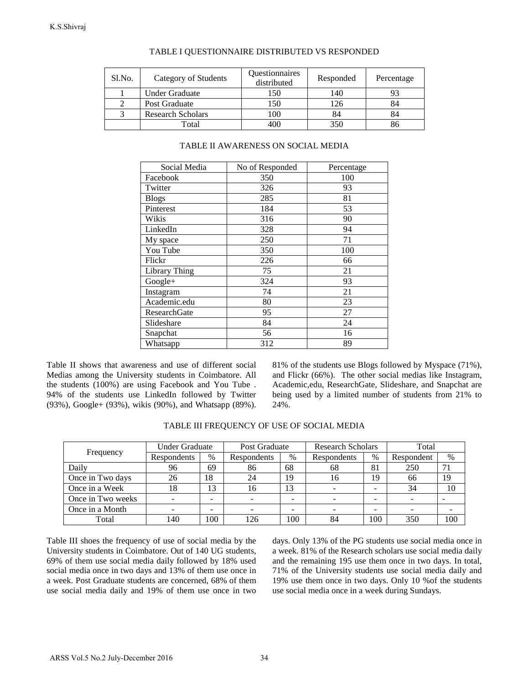| Sl.No. | Category of Students     | Questionnaires<br>distributed | Responded | Percentage |
|--------|--------------------------|-------------------------------|-----------|------------|
|        | Under Graduate           | 150                           | 140       |            |
|        | Post Graduate            | 150                           | 126       | 84         |
|        | <b>Research Scholars</b> | 100                           | 84        | 84         |
|        | Total                    | 400                           | 350       |            |

## TABLE I QUESTIONNAIRE DISTRIBUTED VS RESPONDED

| 1<br>2<br>3                                                                                                                                                                                                                    | Under Graduate<br>Post Graduate<br><b>Research Scholars</b><br>Total<br>Social Media<br>Facebook<br>Twitter<br><b>Blogs</b><br>Pinterest |                | 150<br>150<br>100<br>400<br>TABLE II AWARENESS ON SOCIAL MEDIA<br>No of Responded |                | 140<br>126<br>84<br>350                                                                                                                             |                          |
|--------------------------------------------------------------------------------------------------------------------------------------------------------------------------------------------------------------------------------|------------------------------------------------------------------------------------------------------------------------------------------|----------------|-----------------------------------------------------------------------------------|----------------|-----------------------------------------------------------------------------------------------------------------------------------------------------|--------------------------|
|                                                                                                                                                                                                                                |                                                                                                                                          |                |                                                                                   |                |                                                                                                                                                     |                          |
|                                                                                                                                                                                                                                |                                                                                                                                          |                |                                                                                   |                |                                                                                                                                                     |                          |
|                                                                                                                                                                                                                                |                                                                                                                                          |                |                                                                                   |                |                                                                                                                                                     |                          |
|                                                                                                                                                                                                                                |                                                                                                                                          |                |                                                                                   |                |                                                                                                                                                     |                          |
|                                                                                                                                                                                                                                |                                                                                                                                          |                |                                                                                   |                |                                                                                                                                                     |                          |
|                                                                                                                                                                                                                                |                                                                                                                                          |                |                                                                                   |                | Percentage                                                                                                                                          |                          |
|                                                                                                                                                                                                                                |                                                                                                                                          |                | 350                                                                               |                | 100                                                                                                                                                 |                          |
|                                                                                                                                                                                                                                |                                                                                                                                          |                | 326                                                                               |                | 93                                                                                                                                                  |                          |
|                                                                                                                                                                                                                                |                                                                                                                                          |                | 285                                                                               |                | 81                                                                                                                                                  |                          |
|                                                                                                                                                                                                                                |                                                                                                                                          |                | 184                                                                               |                | 53                                                                                                                                                  |                          |
|                                                                                                                                                                                                                                | Wikis                                                                                                                                    |                | 316                                                                               |                | 90                                                                                                                                                  |                          |
|                                                                                                                                                                                                                                | LinkedIn                                                                                                                                 |                | 328                                                                               |                | 94                                                                                                                                                  |                          |
|                                                                                                                                                                                                                                | My space                                                                                                                                 |                | 250                                                                               |                | 71                                                                                                                                                  |                          |
|                                                                                                                                                                                                                                | You Tube                                                                                                                                 |                | 350                                                                               |                | 100                                                                                                                                                 |                          |
|                                                                                                                                                                                                                                | Flickr                                                                                                                                   |                | 226                                                                               |                | 66                                                                                                                                                  |                          |
|                                                                                                                                                                                                                                | <b>Library Thing</b>                                                                                                                     |                | 75                                                                                |                | 21                                                                                                                                                  |                          |
|                                                                                                                                                                                                                                | Google+                                                                                                                                  |                | 324                                                                               |                | 93                                                                                                                                                  |                          |
|                                                                                                                                                                                                                                | Instagram                                                                                                                                |                | 74                                                                                |                | 21                                                                                                                                                  |                          |
|                                                                                                                                                                                                                                | Academic.edu                                                                                                                             |                | 80                                                                                |                | 23                                                                                                                                                  |                          |
|                                                                                                                                                                                                                                | ResearchGate                                                                                                                             |                | 95                                                                                |                | 27                                                                                                                                                  |                          |
|                                                                                                                                                                                                                                | Slideshare                                                                                                                               |                | 84                                                                                |                | 24                                                                                                                                                  |                          |
|                                                                                                                                                                                                                                | Snapchat<br>Whatsapp                                                                                                                     |                | 56                                                                                |                | 16                                                                                                                                                  |                          |
|                                                                                                                                                                                                                                |                                                                                                                                          |                | 312                                                                               |                | 89                                                                                                                                                  |                          |
|                                                                                                                                                                                                                                | Table II shows that awareness and use of different social                                                                                |                |                                                                                   |                | 81% of the students use Blogs fol                                                                                                                   |                          |
| Aedias among the University students in Coimbatore. All<br>he students (100%) are using Facebook and You Tube.<br>4% of the students use LinkedIn followed by Twitter<br>93%), Google+ (93%), wikis (90%), and Whatsapp (89%). |                                                                                                                                          |                |                                                                                   | 24%.           | and Flickr (66%). The other soc<br>Academic, edu, ResearchGate, Sli<br>being used by a limited number<br>TABLE III FREQUENCY OF USE OF SOCIAL MEDIA |                          |
|                                                                                                                                                                                                                                |                                                                                                                                          |                |                                                                                   |                |                                                                                                                                                     |                          |
| Frequency                                                                                                                                                                                                                      | <b>Under Graduate</b>                                                                                                                    | $\%$           | Post Graduate                                                                     |                | <b>Research Scholars</b>                                                                                                                            |                          |
| Daily                                                                                                                                                                                                                          | Respondents<br>96                                                                                                                        | 69             | Respondents<br>86                                                                 | %<br>68        | Respondents<br>68                                                                                                                                   | %<br>81                  |
|                                                                                                                                                                                                                                | 26                                                                                                                                       | 18             | 24                                                                                | 19             | 16                                                                                                                                                  | 19                       |
|                                                                                                                                                                                                                                | 18                                                                                                                                       | 13             | 16                                                                                | 13             | $\Box$                                                                                                                                              | $\frac{1}{2}$            |
| Once in Two days<br>Once in a Week<br>Once in Two weeks                                                                                                                                                                        | $\overline{\phantom{a}}$                                                                                                                 | $\blacksquare$ | $\overline{\phantom{a}}$                                                          | $\blacksquare$ | $\overline{\phantom{a}}$                                                                                                                            | $\blacksquare$           |
| Once in a Month                                                                                                                                                                                                                | $\blacksquare$                                                                                                                           | $\blacksquare$ | $\blacksquare$                                                                    | $\overline{a}$ | $\blacksquare$                                                                                                                                      | $\overline{\phantom{a}}$ |

### TABLE II AWARENESS ON SOCIAL MEDIA

81% of the students use Blogs followed by Myspace (71%), and Flickr (66%). The other social medias like Instagram, Academic,edu, ResearchGate, Slideshare, and Snapchat are being used by a limited number of students from 21% to 24%.

|                   | Under Graduate |      | Post Graduate |      | <b>Research Scholars</b> |               | Total      |      |
|-------------------|----------------|------|---------------|------|--------------------------|---------------|------------|------|
| Frequency         | Respondents    | $\%$ | Respondents   | $\%$ | Respondents              | $\frac{0}{0}$ | Respondent | $\%$ |
| Daily             | 96             | 69   | 86            | 68   | 68                       | 81            | 250        | 71   |
| Once in Two days  | 26             | 18   | 24            | 19   | 16                       | 19            | 66         | 19   |
| Once in a Week    | 18             | 13   | 16            | 13   | -                        | -             | 34         | 10   |
| Once in Two weeks |                | -    |               | -    | -                        |               |            |      |
| Once in a Month   |                | -    |               |      |                          |               |            |      |
| Total             | 140            | 100  | 126           | 100  | 84                       | 100           | 350        | 100  |

TABLE III FREQUENCY OF USE OF SOCIAL MEDIA

days. Only 13% of the PG students use social media once in a week. 81% of the Research scholars use social media daily and the remaining 195 use them once in two days. In total, 71% of the University students use social media daily and 19% use them once in two days. Only 10 %of the students use social media once in a week during Sundays.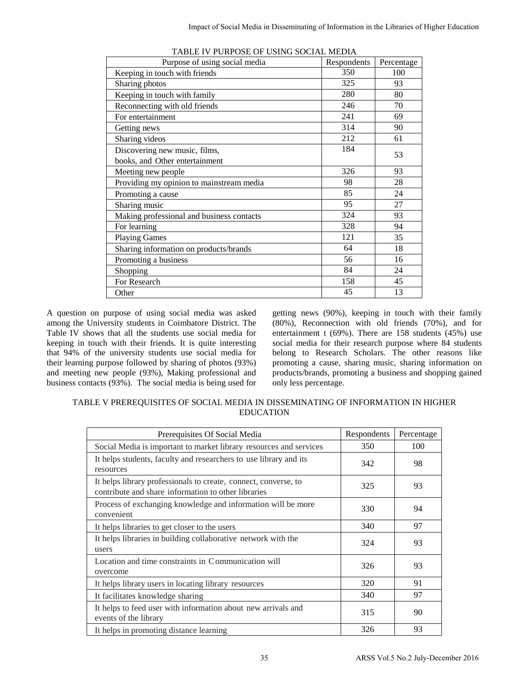| TABLE IV PURPOSE OF USING SOCIAL MEDIA                                                                                                                                                                                                                                                                                                                                                                          |                                                                                                                                                                                                                                                                                                                                                                                                                           |                    |            |
|-----------------------------------------------------------------------------------------------------------------------------------------------------------------------------------------------------------------------------------------------------------------------------------------------------------------------------------------------------------------------------------------------------------------|---------------------------------------------------------------------------------------------------------------------------------------------------------------------------------------------------------------------------------------------------------------------------------------------------------------------------------------------------------------------------------------------------------------------------|--------------------|------------|
| Purpose of using social media                                                                                                                                                                                                                                                                                                                                                                                   |                                                                                                                                                                                                                                                                                                                                                                                                                           | Respondents<br>350 | Percentage |
| Keeping in touch with friends                                                                                                                                                                                                                                                                                                                                                                                   |                                                                                                                                                                                                                                                                                                                                                                                                                           | 325                | 100<br>93  |
| Sharing photos                                                                                                                                                                                                                                                                                                                                                                                                  |                                                                                                                                                                                                                                                                                                                                                                                                                           | 280                |            |
| Keeping in touch with family                                                                                                                                                                                                                                                                                                                                                                                    |                                                                                                                                                                                                                                                                                                                                                                                                                           | 246                | 80         |
| Reconnecting with old friends                                                                                                                                                                                                                                                                                                                                                                                   |                                                                                                                                                                                                                                                                                                                                                                                                                           | 241                | 70<br>69   |
| For entertainment<br>Getting news                                                                                                                                                                                                                                                                                                                                                                               |                                                                                                                                                                                                                                                                                                                                                                                                                           | 314                | 90         |
| Sharing videos                                                                                                                                                                                                                                                                                                                                                                                                  |                                                                                                                                                                                                                                                                                                                                                                                                                           | 212                | 61         |
| Discovering new music, films,                                                                                                                                                                                                                                                                                                                                                                                   |                                                                                                                                                                                                                                                                                                                                                                                                                           | 184                |            |
| books, and Other entertainment                                                                                                                                                                                                                                                                                                                                                                                  |                                                                                                                                                                                                                                                                                                                                                                                                                           |                    | 53         |
| Meeting new people                                                                                                                                                                                                                                                                                                                                                                                              |                                                                                                                                                                                                                                                                                                                                                                                                                           | 326                | 93         |
| Providing my opinion to mainstream media                                                                                                                                                                                                                                                                                                                                                                        |                                                                                                                                                                                                                                                                                                                                                                                                                           | 98                 | 28         |
| Promoting a cause                                                                                                                                                                                                                                                                                                                                                                                               |                                                                                                                                                                                                                                                                                                                                                                                                                           | 85                 | 24         |
| Sharing music                                                                                                                                                                                                                                                                                                                                                                                                   |                                                                                                                                                                                                                                                                                                                                                                                                                           | 95                 | 27         |
| Making professional and business contacts                                                                                                                                                                                                                                                                                                                                                                       |                                                                                                                                                                                                                                                                                                                                                                                                                           | 324                | 93         |
| For learning                                                                                                                                                                                                                                                                                                                                                                                                    |                                                                                                                                                                                                                                                                                                                                                                                                                           | 328                | 94         |
| <b>Playing Games</b>                                                                                                                                                                                                                                                                                                                                                                                            |                                                                                                                                                                                                                                                                                                                                                                                                                           | 121                | 35         |
| Sharing information on products/brands                                                                                                                                                                                                                                                                                                                                                                          |                                                                                                                                                                                                                                                                                                                                                                                                                           | 64                 | 18         |
| Promoting a business                                                                                                                                                                                                                                                                                                                                                                                            |                                                                                                                                                                                                                                                                                                                                                                                                                           | 56                 | 16         |
| Shopping                                                                                                                                                                                                                                                                                                                                                                                                        |                                                                                                                                                                                                                                                                                                                                                                                                                           | 84                 | 24         |
| For Research                                                                                                                                                                                                                                                                                                                                                                                                    |                                                                                                                                                                                                                                                                                                                                                                                                                           | 158                | 45         |
| Other                                                                                                                                                                                                                                                                                                                                                                                                           |                                                                                                                                                                                                                                                                                                                                                                                                                           | 45                 | 13         |
|                                                                                                                                                                                                                                                                                                                                                                                                                 | getting news (90%), keeping in touch with their family<br>(80%), Reconnection with old friends (70%), and fo<br>entertainment t $(69\%)$ . There are 158 students $(45\%)$ us<br>social media for their research purpose where 84 student<br>belong to Research Scholars. The other reasons like<br>promoting a cause, sharing music, sharing information of<br>products/brands, promoting a business and shopping gained |                    |            |
| with their friends. It is quite interesting                                                                                                                                                                                                                                                                                                                                                                     | only less percentage.                                                                                                                                                                                                                                                                                                                                                                                                     |                    |            |
| urpose of using social media was asked<br>rsity students in Coimbatore District. The<br>that all the students use social media for<br>university students use social media for<br>pose followed by sharing of photos (93%)<br>people (93%), Making professional and<br>(93%). The social media is being used for<br>PREREQUISITES OF SOCIAL MEDIA IN DISSEMINATING OF INFORMATION IN HIGHER<br><b>EDUCATION</b> |                                                                                                                                                                                                                                                                                                                                                                                                                           |                    |            |
| Prerequisites Of Social Media                                                                                                                                                                                                                                                                                                                                                                                   |                                                                                                                                                                                                                                                                                                                                                                                                                           | Respondents        | Percentage |
| ial Media is important to market library resources and services<br>elps students, faculty and researchers to use library and its                                                                                                                                                                                                                                                                                |                                                                                                                                                                                                                                                                                                                                                                                                                           | 350<br>342         | 100<br>98  |
| urces<br>elps library professionals to create, connect, converse, to<br>tribute and share information to other libraries                                                                                                                                                                                                                                                                                        |                                                                                                                                                                                                                                                                                                                                                                                                                           | 325                | 93         |
| cess of exchanging knowledge and information will be more<br>venient                                                                                                                                                                                                                                                                                                                                            |                                                                                                                                                                                                                                                                                                                                                                                                                           | 330                | 94         |
|                                                                                                                                                                                                                                                                                                                                                                                                                 |                                                                                                                                                                                                                                                                                                                                                                                                                           | 340                | 97         |
| elps libraries to get closer to the users<br>elps libraries in building collaborative network with the<br>'S                                                                                                                                                                                                                                                                                                    |                                                                                                                                                                                                                                                                                                                                                                                                                           | 324                | 93         |
| ation and time constraints in Communication will<br>rcome                                                                                                                                                                                                                                                                                                                                                       |                                                                                                                                                                                                                                                                                                                                                                                                                           | 326                | 93         |
|                                                                                                                                                                                                                                                                                                                                                                                                                 |                                                                                                                                                                                                                                                                                                                                                                                                                           | 320                | 91         |
| elps library users in locating library resources                                                                                                                                                                                                                                                                                                                                                                |                                                                                                                                                                                                                                                                                                                                                                                                                           |                    | 97         |
| cilitates knowledge sharing<br>elps to feed user with information about new arrivals and<br>nts of the library                                                                                                                                                                                                                                                                                                  |                                                                                                                                                                                                                                                                                                                                                                                                                           | 340<br>315         | 90         |

|--|

A question on purpose of using social media was asked among the University students in Coimbatore District. The Table IV shows that all the students use social media for keeping in touch with their friends. It is quite interesting that 94% of the university students use social media for their learning purpose followed by sharing of photos (93%) and meeting new people (93%), Making professional and business contacts (93%). The social media is being used for

| TABLE V PREREQUISITES OF SOCIAL MEDIA IN DISSEMINATING OF INFORMATION IN HIGHER |
|---------------------------------------------------------------------------------|
| <b>EDUCATION</b>                                                                |

| Prerequisites Of Social Media                                                                                          | Respondents | Percentage |
|------------------------------------------------------------------------------------------------------------------------|-------------|------------|
| Social Media is important to market library resources and services                                                     | 350         | 100        |
| It helps students, faculty and researchers to use library and its<br>resources                                         | 342         | 98         |
| It helps library professionals to create, connect, converse, to<br>contribute and share information to other libraries | 325         | 93         |
| Process of exchanging knowledge and information will be more<br>convenient                                             | 330         | 94         |
| It helps libraries to get closer to the users                                                                          | 340         | 97         |
| It helps libraries in building collaborative network with the<br>users                                                 | 324         | 93         |
| Location and time constraints in Communication will<br>overcome                                                        | 326         | 93         |
| It helps library users in locating library resources                                                                   | 320         | 91         |
| It facilitates knowledge sharing                                                                                       | 340         | 97         |
| It helps to feed user with information about new arrivals and<br>events of the library                                 | 315         | 90         |
| It helps in promoting distance learning                                                                                | 326         | 93         |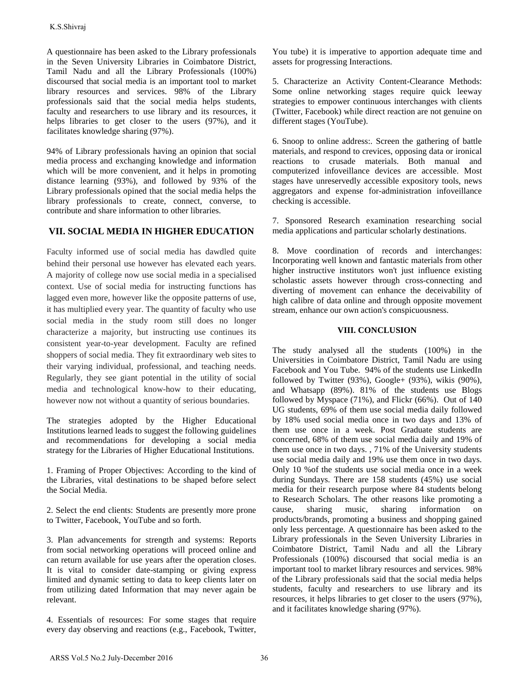A questionnaire has been asked to the Library professionals in the Seven University Libraries in Coimbatore District, Tamil Nadu and all the Library Professionals (100%) discoursed that social media is an important tool to market library resources and services. 98% of the Library professionals said that the social media helps students, faculty and researchers to use library and its resources, it helps libraries to get closer to the users (97%), and it facilitates knowledge sharing (97%).

94% of Library professionals having an opinion that social media process and exchanging knowledge and information which will be more convenient, and it helps in promoting distance learning (93%), and followed by 93% of the Library professionals opined that the social media helps the library professionals to create, connect, converse, to contribute and share information to other libraries.

# **VII. SOCIAL MEDIA IN HIGHER EDUCATION**

Faculty informed use of social media has dawdled quite behind their personal use however has elevated each years. A majority of college now use social media in a specialised context. Use of social media for instructing functions has lagged even more, however like the opposite patterns of use, it has multiplied every year. The quantity of faculty who use social media in the study room still does no longer characterize a majority, but instructing use continues its consistent year-to-year development. Faculty are refined shoppers of social media. They fit extraordinary web sites to their varying individual, professional, and teaching needs. Regularly, they see giant potential in the utility of social media and technological know-how to their educating, however now not without a quantity of serious boundaries. K.S.Shivaj<br>
A. Questionnaire has been asked to the Library professionals<br>
and particular and all the Library Professionals<br>
Chievan University Libraries: in Coinbatore District,<br>
Chievan the Seven University Libraries: in

The strategies adopted by the Higher Educational Institutions learned leads to suggest the following guidelines and recommendations for developing a social media strategy for the Libraries of Higher Educational Institutions.

1. Framing of Proper Objectives: According to the kind of the Libraries, vital destinations to be shaped before select the Social Media.

2. Select the end clients: Students are presently more prone to Twitter, Facebook, YouTube and so forth.

3. Plan advancements for strength and systems: Reports from social networking operations will proceed online and can return available for use years after the operation closes. It is vital to consider date-stamping or giving express limited and dynamic setting to data to keep clients later on from utilizing dated Information that may never again be relevant.

4. Essentials of resources: For some stages that require every day observing and reactions (e.g., Facebook, Twitter,

You tube) it is imperative to apportion adequate time and assets for progressing Interactions.

5. Characterize an Activity Content-Clearance Methods: Some online networking stages require quick leeway strategies to empower continuous interchanges with clients (Twitter, Facebook) while direct reaction are not genuine on different stages (YouTube).

6. Snoop to online address:. Screen the gathering of battle materials, and respond to crevices, opposing data or ironical reactions to crusade materials. Both manual and computerized infoveillance devices are accessible. Most stages have unreservedly accessible expository tools, news aggregators and expense for-administration infoveillance checking is accessible.

7. Sponsored Research examination researching social media applications and particular scholarly destinations.

8. Move coordination of records and interchanges: Incorporating well known and fantastic materials from other higher instructive institutors won't just influence existing scholastic assets however through cross-connecting and diverting of movement can enhance the deceivability of high calibre of data online and through opposite movement stream, enhance our own action's conspicuousness.

## **VIII. CONCLUSION**

The study analysed all the students (100%) in the Universities in Coimbatore District, Tamil Nadu are using Facebook and You Tube. 94% of the students use LinkedIn followed by Twitter (93%), Google+ (93%), wikis (90%), and Whatsapp (89%). 81% of the students use Blogs followed by Myspace (71%), and Flickr (66%). Out of 140 UG students, 69% of them use social media daily followed by 18% used social media once in two days and 13% of them use once in a week. Post Graduate students are concerned, 68% of them use social media daily and 19% of them use once in two days. , 71% of the University students use social media daily and 19% use them once in two days. Only 10 %of the students use social media once in a week during Sundays. There are 158 students (45%) use social media for their research purpose where 84 students belong to Research Scholars. The other reasons like promoting a cause, sharing music, sharing information on products/brands, promoting a business and shopping gained only less percentage. A questionnaire has been asked to the Library professionals in the Seven University Libraries in Coimbatore District, Tamil Nadu and all the Library Professionals (100%) discoursed that social media is an important tool to market library resources and services. 98% of the Library professionals said that the social media helps students, faculty and researchers to use library and its resources, it helps libraries to get closer to the users (97%), and it facilitates knowledge sharing (97%).